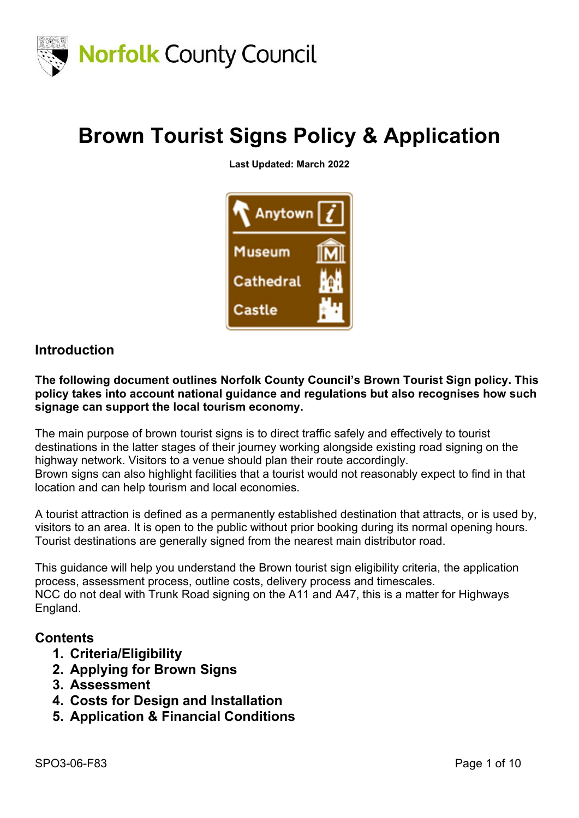

## **Brown Tourist Signs Policy & Application**

**Last Updated: March 2022**



### **Introduction**

**The following document outlines Norfolk County Council's Brown Tourist Sign policy. This policy takes into account national guidance and regulations but also recognises how such signage can support the local tourism economy.**

The main purpose of brown tourist signs is to direct traffic safely and effectively to tourist destinations in the latter stages of their journey working alongside existing road signing on the highway network. Visitors to a venue should plan their route accordingly. Brown signs can also highlight facilities that a tourist would not reasonably expect to find in that location and can help tourism and local economies.

A tourist attraction is defined as a permanently established destination that attracts, or is used by, visitors to an area. It is open to the public without prior booking during its normal opening hours. Tourist destinations are generally signed from the nearest main distributor road.

This guidance will help you understand the Brown tourist sign eligibility criteria, the application process, assessment process, outline costs, delivery process and timescales. NCC do not deal with Trunk Road signing on the A11 and A47, this is a matter for Highways England.

#### **Contents**

- **1. Criteria/Eligibility**
- **2. Applying for Brown Signs**
- **3. Assessment**
- **4. Costs for Design and Installation**
- **5. Application & Financial Conditions**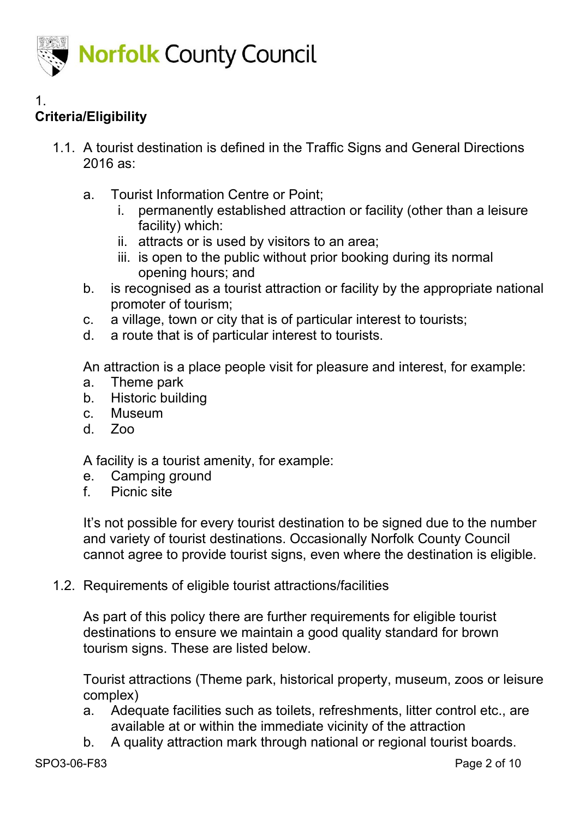

#### 1. **Criteria/Eligibility**

- 1.1. A tourist destination is defined in the Traffic Signs and General Directions 2016 as:
	- a. Tourist Information Centre or Point;
		- i. permanently established attraction or facility (other than a leisure facility) which:
		- ii. attracts or is used by visitors to an area;
		- iii. is open to the public without prior booking during its normal opening hours; and
	- b. is recognised as a tourist attraction or facility by the appropriate national promoter of tourism;
	- c. a village, town or city that is of particular interest to tourists;
	- d. a route that is of particular interest to tourists.

An attraction is a place people visit for pleasure and interest, for example:

- a. Theme park
- b. Historic building
- c. Museum
- d. Zoo

A facility is a tourist amenity, for example:

- e. Camping ground
- f. Picnic site

It's not possible for every tourist destination to be signed due to the number and variety of tourist destinations. Occasionally Norfolk County Council cannot agree to provide tourist signs, even where the destination is eligible.

1.2. Requirements of eligible tourist attractions/facilities

As part of this policy there are further requirements for eligible tourist destinations to ensure we maintain a good quality standard for brown tourism signs. These are listed below.

Tourist attractions (Theme park, historical property, museum, zoos or leisure complex)

- a. Adequate facilities such as toilets, refreshments, litter control etc., are available at or within the immediate vicinity of the attraction
- b. A quality attraction mark through national or regional tourist boards.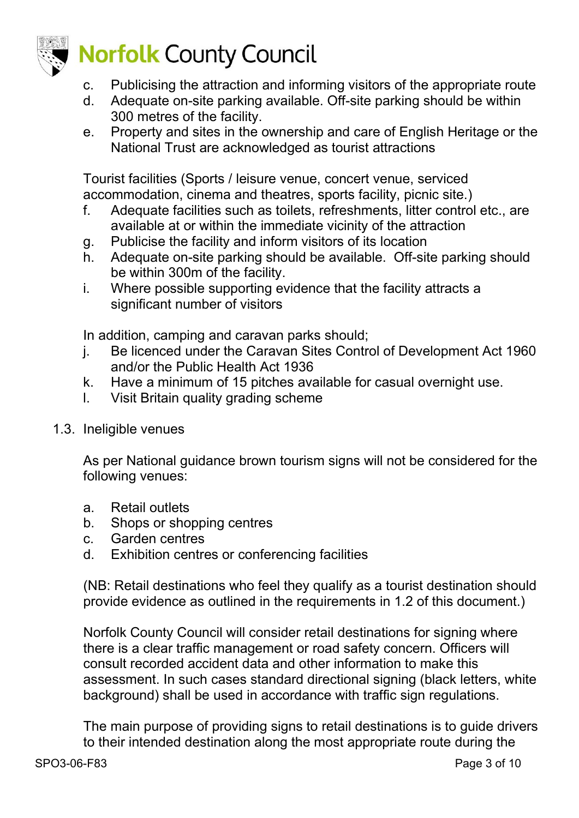

- c. Publicising the attraction and informing visitors of the appropriate route
- d. Adequate on-site parking available. Off-site parking should be within 300 metres of the facility.
- e. Property and sites in the ownership and care of English Heritage or the National Trust are acknowledged as tourist attractions

Tourist facilities (Sports / leisure venue, concert venue, serviced accommodation, cinema and theatres, sports facility, picnic site.)

- f. Adequate facilities such as toilets, refreshments, litter control etc., are available at or within the immediate vicinity of the attraction
- g. Publicise the facility and inform visitors of its location
- h. Adequate on-site parking should be available. Off-site parking should be within 300m of the facility.
- i. Where possible supporting evidence that the facility attracts a significant number of visitors

In addition, camping and caravan parks should;

- j. Be licenced under the Caravan Sites Control of Development Act 1960 and/or the Public Health Act 1936
- k. Have a minimum of 15 pitches available for casual overnight use.
- l. Visit Britain quality grading scheme
- 1.3. Ineligible venues

As per National guidance brown tourism signs will not be considered for the following venues:

- a. Retail outlets
- b. Shops or shopping centres
- c. Garden centres
- d. Exhibition centres or conferencing facilities

(NB: Retail destinations who feel they qualify as a tourist destination should provide evidence as outlined in the requirements in 1.2 of this document.)

Norfolk County Council will consider retail destinations for signing where there is a clear traffic management or road safety concern. Officers will consult recorded accident data and other information to make this assessment. In such cases standard directional signing (black letters, white background) shall be used in accordance with traffic sign regulations.

The main purpose of providing signs to retail destinations is to guide drivers to their intended destination along the most appropriate route during the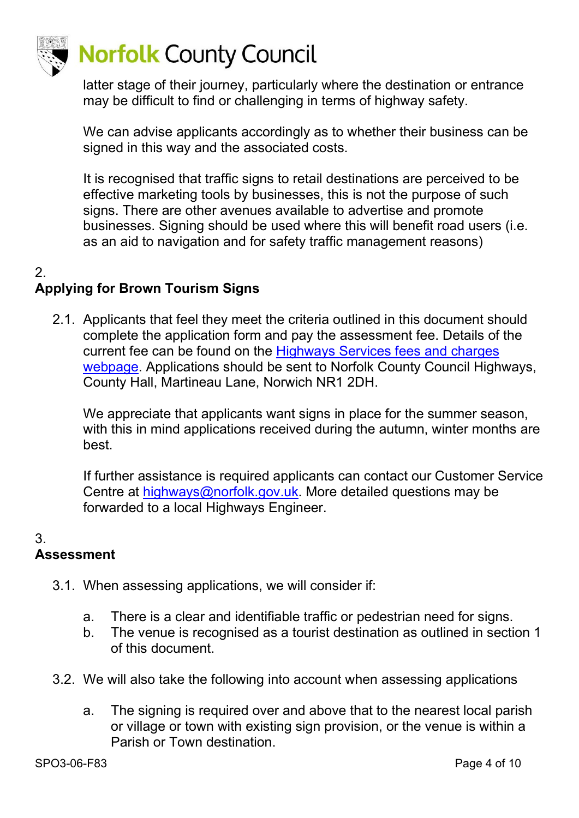

# **Norfolk County Council**

latter stage of their journey, particularly where the destination or entrance may be difficult to find or challenging in terms of highway safety.

We can advise applicants accordingly as to whether their business can be signed in this way and the associated costs.

It is recognised that traffic signs to retail destinations are perceived to be effective marketing tools by businesses, this is not the purpose of such signs. There are other avenues available to advertise and promote businesses. Signing should be used where this will benefit road users (i.e. as an aid to navigation and for safety traffic management reasons)

### $\mathcal{P}$

### **Applying for Brown Tourism Signs**

2.1. Applicants that feel they meet the criteria outlined in this document should complete the application form and pay the assessment fee. Details of the current fee can be found on the [Highways Services fees and charges](https://www.norfolk.gov.uk/business/licences-and-permits/highways-licences-and-permits/highways-services-fees-and-charges)  [webpage.](https://www.norfolk.gov.uk/business/licences-and-permits/highways-licences-and-permits/highways-services-fees-and-charges) Applications should be sent to Norfolk County Council Highways, County Hall, Martineau Lane, Norwich NR1 2DH.

We appreciate that applicants want signs in place for the summer season, with this in mind applications received during the autumn, winter months are best.

If further assistance is required applicants can contact our Customer Service Centre at [highways@norfolk.gov.uk.](mailto:highways@norfolk.gov.uk) More detailed questions may be forwarded to a local Highways Engineer.

### 3.

### **Assessment**

- 3.1. When assessing applications, we will consider if:
	- a. There is a clear and identifiable traffic or pedestrian need for signs.
	- b. The venue is recognised as a tourist destination as outlined in section 1 of this document.
- 3.2. We will also take the following into account when assessing applications
	- a. The signing is required over and above that to the nearest local parish or village or town with existing sign provision, or the venue is within a Parish or Town destination.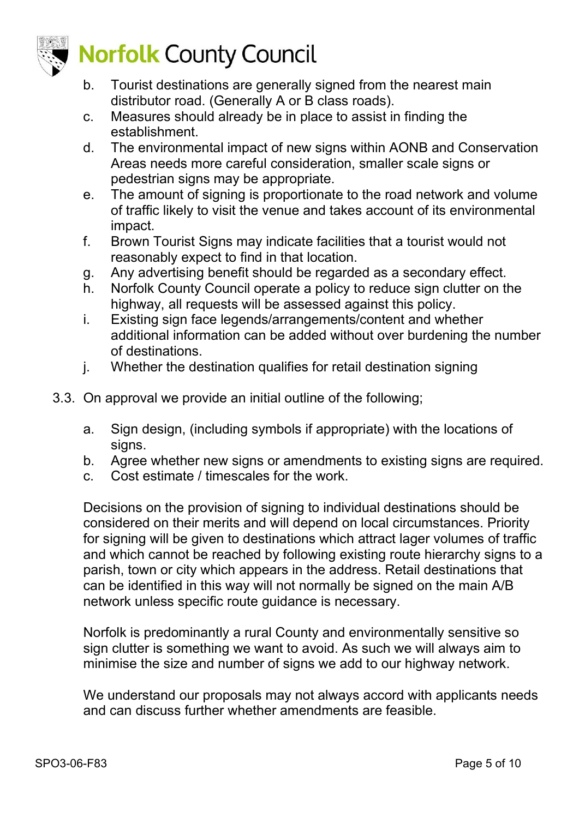

# **Norfolk County Council**

- b. Tourist destinations are generally signed from the nearest main distributor road. (Generally A or B class roads).
- c. Measures should already be in place to assist in finding the establishment.
- d. The environmental impact of new signs within AONB and Conservation Areas needs more careful consideration, smaller scale signs or pedestrian signs may be appropriate.
- e. The amount of signing is proportionate to the road network and volume of traffic likely to visit the venue and takes account of its environmental impact.
- f. Brown Tourist Signs may indicate facilities that a tourist would not reasonably expect to find in that location.
- g. Any advertising benefit should be regarded as a secondary effect.
- h. Norfolk County Council operate a policy to reduce sign clutter on the highway, all requests will be assessed against this policy.
- i. Existing sign face legends/arrangements/content and whether additional information can be added without over burdening the number of destinations.
- j. Whether the destination qualifies for retail destination signing
- 3.3. On approval we provide an initial outline of the following;
	- a. Sign design, (including symbols if appropriate) with the locations of signs.
	- b. Agree whether new signs or amendments to existing signs are required.
	- c. Cost estimate / timescales for the work.

Decisions on the provision of signing to individual destinations should be considered on their merits and will depend on local circumstances. Priority for signing will be given to destinations which attract lager volumes of traffic and which cannot be reached by following existing route hierarchy signs to a parish, town or city which appears in the address. Retail destinations that can be identified in this way will not normally be signed on the main A/B network unless specific route guidance is necessary.

Norfolk is predominantly a rural County and environmentally sensitive so sign clutter is something we want to avoid. As such we will always aim to minimise the size and number of signs we add to our highway network.

We understand our proposals may not always accord with applicants needs and can discuss further whether amendments are feasible.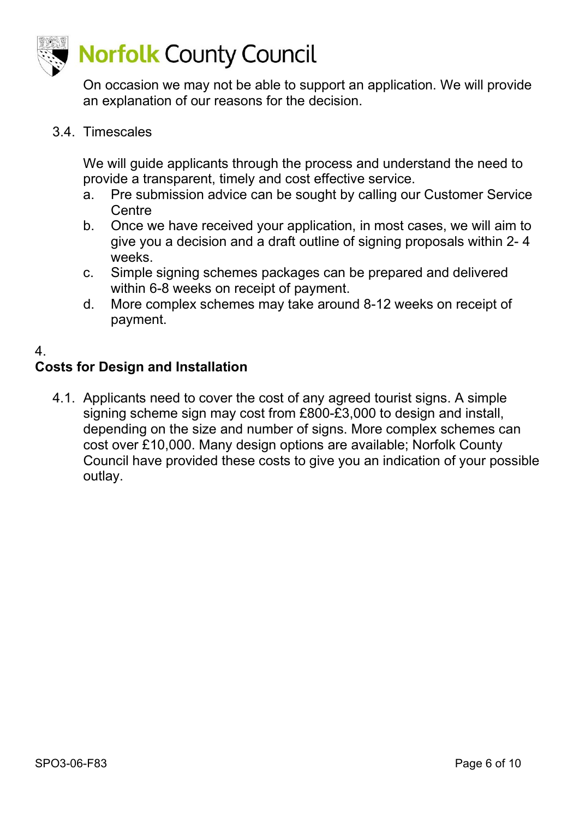

On occasion we may not be able to support an application. We will provide an explanation of our reasons for the decision.

3.4. Timescales

We will guide applicants through the process and understand the need to provide a transparent, timely and cost effective service.

- a. Pre submission advice can be sought by calling our Customer Service **Centre**
- b. Once we have received your application, in most cases, we will aim to give you a decision and a draft outline of signing proposals within 2- 4 weeks.
- c. Simple signing schemes packages can be prepared and delivered within 6-8 weeks on receipt of payment.
- d. More complex schemes may take around 8-12 weeks on receipt of payment.

### 4.

### **Costs for Design and Installation**

4.1. Applicants need to cover the cost of any agreed tourist signs. A simple signing scheme sign may cost from £800-£3,000 to design and install, depending on the size and number of signs. More complex schemes can cost over £10,000. Many design options are available; Norfolk County Council have provided these costs to give you an indication of your possible outlay.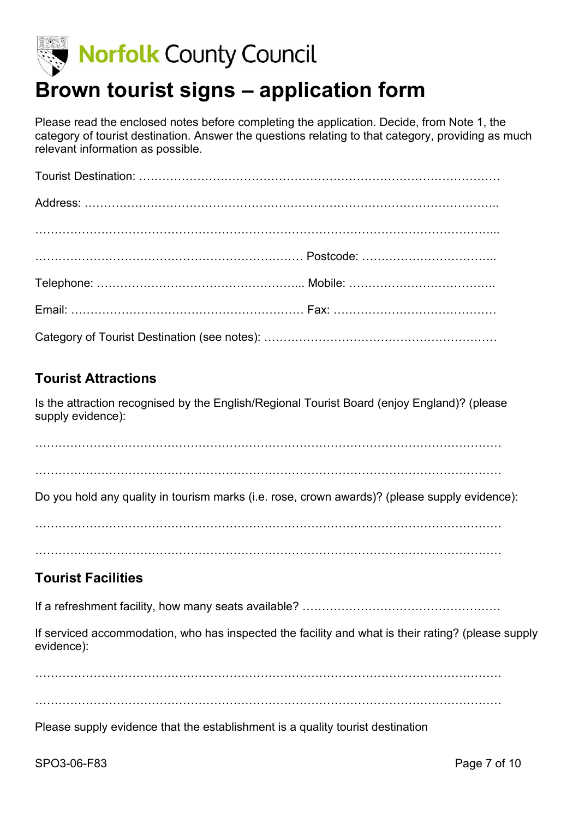

### **Brown tourist signs – application form**

Please read the enclosed notes before completing the application. Decide, from Note 1, the category of tourist destination. Answer the questions relating to that category, providing as much relevant information as possible.

### **Tourist Attractions**

Is the attraction recognised by the English/Regional Tourist Board (enjoy England)? (please supply evidence):

. The contract of the contract of the contract of the contract of the contract of the contract of the contract of the contract of the contract of the contract of the contract of the contract of the contract of the contrac

…………………………………………………………………………………………………………

Do you hold any quality in tourism marks (i.e. rose, crown awards)? (please supply evidence):

. The contract of the contract of the contract of the contract of the contract of the contract of the contract of the contract of the contract of the contract of the contract of the contract of the contract of the contrac

. The contract of the contract of the contract of the contract of the contract of the contract of the contract of the contract of the contract of the contract of the contract of the contract of the contract of the contrac

### **Tourist Facilities**

If a refreshment facility, how many seats available? ………………………………………………………………………

If serviced accommodation, who has inspected the facility and what is their rating? (please supply evidence):

. The contract of the contract of the contract of the contract of the contract of the contract of the contract of the contract of the contract of the contract of the contract of the contract of the contract of the contrac

…………………………………………………………………………………………………………

Please supply evidence that the establishment is a quality tourist destination

SPO3-06-F83 Page 7 of 10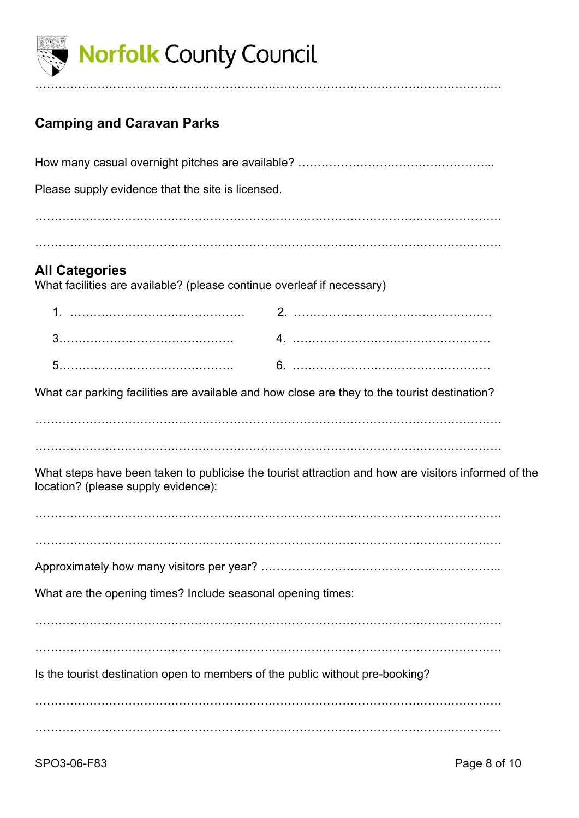

### **Camping and Caravan Parks**

| Please supply evidence that the site is licensed.                                                                                          |  |  |
|--------------------------------------------------------------------------------------------------------------------------------------------|--|--|
|                                                                                                                                            |  |  |
|                                                                                                                                            |  |  |
| <b>All Categories</b><br>What facilities are available? (please continue overleaf if necessary)                                            |  |  |
|                                                                                                                                            |  |  |
|                                                                                                                                            |  |  |
|                                                                                                                                            |  |  |
| What car parking facilities are available and how close are they to the tourist destination?                                               |  |  |
|                                                                                                                                            |  |  |
|                                                                                                                                            |  |  |
| What steps have been taken to publicise the tourist attraction and how are visitors informed of the<br>location? (please supply evidence): |  |  |
|                                                                                                                                            |  |  |
|                                                                                                                                            |  |  |
|                                                                                                                                            |  |  |
| What are the opening times? Include seasonal opening times:                                                                                |  |  |
|                                                                                                                                            |  |  |
|                                                                                                                                            |  |  |
| Is the tourist destination open to members of the public without pre-booking?                                                              |  |  |
|                                                                                                                                            |  |  |
|                                                                                                                                            |  |  |
|                                                                                                                                            |  |  |

…………………………………………………………………………………………………………

SPO3-06-F83 Page 8 of 10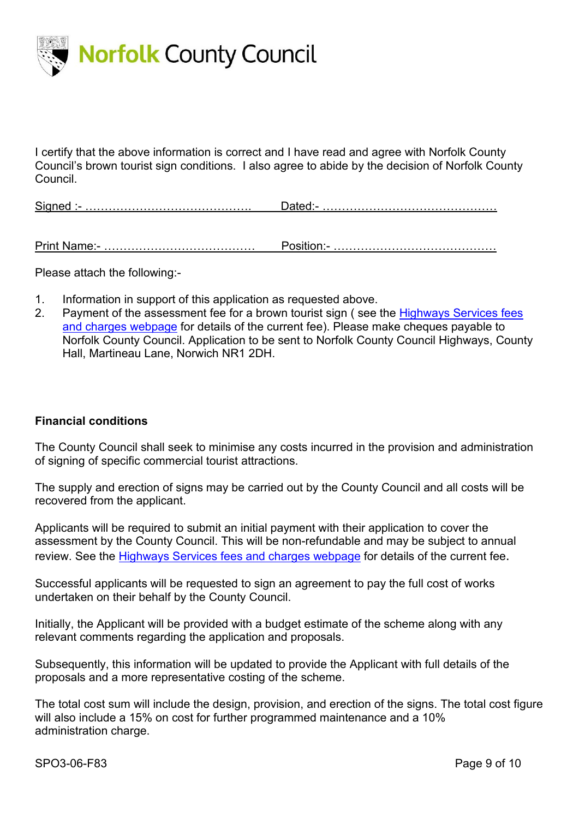

I certify that the above information is correct and I have read and agree with Norfolk County Council's brown tourist sign conditions. I also agree to abide by the decision of Norfolk County Council.

Signed :- ……………………………………. Dated:- ………………………………………

Print Name:- ………………………………… Position:- ……………………………………

Please attach the following:-

- 1. Information in support of this application as requested above.
- 2. Payment of the assessment fee for a brown tourist sign (see the Highways Services fees [and charges webpage](https://www.norfolk.gov.uk/business/licences-and-permits/highways-licences-and-permits/highways-services-fees-and-charges) for details of the current fee). Please make cheques payable to Norfolk County Council. Application to be sent to Norfolk County Council Highways, County Hall, Martineau Lane, Norwich NR1 2DH.

#### **Financial conditions**

The County Council shall seek to minimise any costs incurred in the provision and administration of signing of specific commercial tourist attractions.

The supply and erection of signs may be carried out by the County Council and all costs will be recovered from the applicant.

Applicants will be required to submit an initial payment with their application to cover the assessment by the County Council. This will be non-refundable and may be subject to annual review. See the [Highways Services fees and charges webpage](https://www.norfolk.gov.uk/business/licences-and-permits/highways-licences-and-permits/highways-services-fees-and-charges) for details of the current fee.

Successful applicants will be requested to sign an agreement to pay the full cost of works undertaken on their behalf by the County Council.

Initially, the Applicant will be provided with a budget estimate of the scheme along with any relevant comments regarding the application and proposals.

Subsequently, this information will be updated to provide the Applicant with full details of the proposals and a more representative costing of the scheme.

The total cost sum will include the design, provision, and erection of the signs. The total cost figure will also include a 15% on cost for further programmed maintenance and a 10% administration charge.